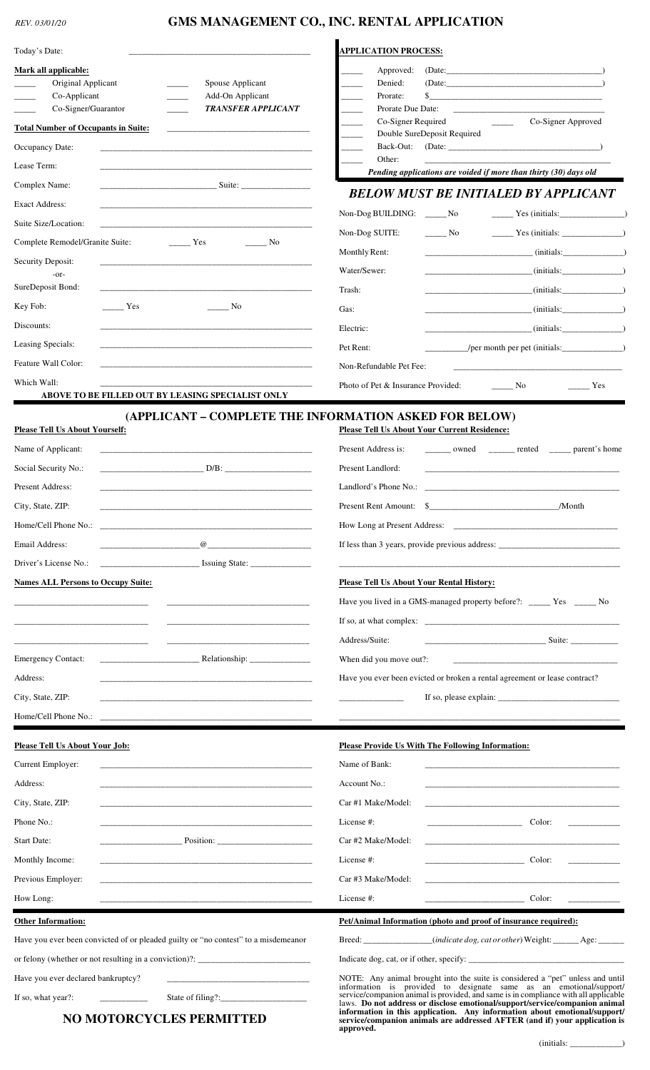## *REV. 03/01/20* **GMS MANAGEMENT CO., INC. RENTAL APPLICATION**

| Today's Date:                                                                      |                                                                                                                                                                                                                                                                                                                                  | <b>APPLICATION PROCESS:</b>                                                                                                                                                                                                                                                                                                                |                                                                                |                                                                                                                        |  |
|------------------------------------------------------------------------------------|----------------------------------------------------------------------------------------------------------------------------------------------------------------------------------------------------------------------------------------------------------------------------------------------------------------------------------|--------------------------------------------------------------------------------------------------------------------------------------------------------------------------------------------------------------------------------------------------------------------------------------------------------------------------------------------|--------------------------------------------------------------------------------|------------------------------------------------------------------------------------------------------------------------|--|
| Mark all applicable:                                                               |                                                                                                                                                                                                                                                                                                                                  | Approved:                                                                                                                                                                                                                                                                                                                                  |                                                                                |                                                                                                                        |  |
| Original Applicant                                                                 | Spouse Applicant                                                                                                                                                                                                                                                                                                                 | Denied:                                                                                                                                                                                                                                                                                                                                    | (Date:                                                                         |                                                                                                                        |  |
| Co-Applicant<br>Co-Signer/Guarantor                                                | Add-On Applicant<br><b>TRANSFER APPLICANT</b>                                                                                                                                                                                                                                                                                    | Prorate:<br>Prorate Due Date:                                                                                                                                                                                                                                                                                                              |                                                                                | <u> 1989 - John Stein, Amerikaansk politiker (</u>                                                                     |  |
| <b>Total Number of Occupants in Suite:</b>                                         |                                                                                                                                                                                                                                                                                                                                  | Co-Signer Required                                                                                                                                                                                                                                                                                                                         | the company of the company of                                                  | Co-Signer Approved                                                                                                     |  |
| Occupancy Date:                                                                    |                                                                                                                                                                                                                                                                                                                                  |                                                                                                                                                                                                                                                                                                                                            | Double SureDeposit Required                                                    |                                                                                                                        |  |
| Lease Term:                                                                        |                                                                                                                                                                                                                                                                                                                                  | Other:                                                                                                                                                                                                                                                                                                                                     |                                                                                |                                                                                                                        |  |
| Complex Name:                                                                      | <u>Suite:</u>                                                                                                                                                                                                                                                                                                                    |                                                                                                                                                                                                                                                                                                                                            | Pending applications are voided if more than thirty (30) days old              |                                                                                                                        |  |
| <b>Exact Address:</b>                                                              |                                                                                                                                                                                                                                                                                                                                  |                                                                                                                                                                                                                                                                                                                                            | <b>BELOW MUST BE INITIALED BY APPLICANT</b>                                    |                                                                                                                        |  |
| Suite Size/Location:                                                               |                                                                                                                                                                                                                                                                                                                                  | Non-Dog BUILDING: _______ No                                                                                                                                                                                                                                                                                                               |                                                                                |                                                                                                                        |  |
| Complete Remodel/Granite Suite:                                                    | Yes<br>N <sub>0</sub>                                                                                                                                                                                                                                                                                                            | Non-Dog SUITE:                                                                                                                                                                                                                                                                                                                             | No.                                                                            |                                                                                                                        |  |
| Security Deposit:                                                                  |                                                                                                                                                                                                                                                                                                                                  | Monthly Rent:                                                                                                                                                                                                                                                                                                                              |                                                                                |                                                                                                                        |  |
| $-0r-$                                                                             |                                                                                                                                                                                                                                                                                                                                  | Water/Sewer:                                                                                                                                                                                                                                                                                                                               |                                                                                |                                                                                                                        |  |
| SureDeposit Bond:                                                                  |                                                                                                                                                                                                                                                                                                                                  | Trash:                                                                                                                                                                                                                                                                                                                                     |                                                                                | (i nitials:                                                                                                            |  |
| Key Fob:<br>Yes                                                                    | $\frac{1}{\sqrt{1-\frac{1}{2}}}\n$ No                                                                                                                                                                                                                                                                                            | Gas:                                                                                                                                                                                                                                                                                                                                       |                                                                                | (i nitals:                                                                                                             |  |
| Discounts:                                                                         |                                                                                                                                                                                                                                                                                                                                  | Electric:                                                                                                                                                                                                                                                                                                                                  |                                                                                |                                                                                                                        |  |
| Leasing Specials:                                                                  |                                                                                                                                                                                                                                                                                                                                  | Pet Rent:                                                                                                                                                                                                                                                                                                                                  |                                                                                | /per month per pet (initials: _______________)                                                                         |  |
| Feature Wall Color:                                                                |                                                                                                                                                                                                                                                                                                                                  | Non-Refundable Pet Fee:                                                                                                                                                                                                                                                                                                                    |                                                                                |                                                                                                                        |  |
| Which Wall:                                                                        | ABOVE TO BE FILLED OUT BY LEASING SPECIALIST ONLY                                                                                                                                                                                                                                                                                | Photo of Pet & Insurance Provided:                                                                                                                                                                                                                                                                                                         | N <sub>o</sub>                                                                 | Yes                                                                                                                    |  |
| <b>Please Tell Us About Yourself:</b><br>Name of Applicant:                        | (APPLICANT - COMPLETE THE INFORMATION ASKED FOR BELOW)                                                                                                                                                                                                                                                                           | Please Tell Us About Your Current Residence:<br>Present Address is:                                                                                                                                                                                                                                                                        |                                                                                | ______ owned ______ rented _____ parent's home                                                                         |  |
| Social Security No.:                                                               |                                                                                                                                                                                                                                                                                                                                  | Present Landlord:                                                                                                                                                                                                                                                                                                                          |                                                                                |                                                                                                                        |  |
|                                                                                    |                                                                                                                                                                                                                                                                                                                                  |                                                                                                                                                                                                                                                                                                                                            |                                                                                |                                                                                                                        |  |
| Present Address:                                                                   |                                                                                                                                                                                                                                                                                                                                  | Landlord's Phone No.:                                                                                                                                                                                                                                                                                                                      |                                                                                | <u> 1989 - Johann John Stone, mars et al. 1989 - John Stone, mars et al. 1989 - John Stone, mars et al. 1989 - Joh</u> |  |
| City, State, ZIP:                                                                  |                                                                                                                                                                                                                                                                                                                                  |                                                                                                                                                                                                                                                                                                                                            | Present Rent Amount: \$                                                        | /Month                                                                                                                 |  |
|                                                                                    |                                                                                                                                                                                                                                                                                                                                  |                                                                                                                                                                                                                                                                                                                                            |                                                                                |                                                                                                                        |  |
| Email Address:                                                                     | $\omega$ and $\omega$ and $\omega$ and $\omega$ and $\omega$ and $\omega$ and $\omega$ and $\omega$ and $\omega$ and $\omega$ and $\omega$ and $\omega$ and $\omega$ and $\omega$ and $\omega$ and $\omega$ and $\omega$ and $\omega$ and $\omega$ and $\omega$ and $\omega$ and $\omega$ and $\omega$ and $\omega$ and $\omega$ |                                                                                                                                                                                                                                                                                                                                            |                                                                                | If less than 3 years, provide previous address: _________________________________                                      |  |
| Driver's License No.:                                                              |                                                                                                                                                                                                                                                                                                                                  |                                                                                                                                                                                                                                                                                                                                            |                                                                                |                                                                                                                        |  |
| <b>Names ALL Persons to Occupy Suite:</b>                                          |                                                                                                                                                                                                                                                                                                                                  | <b>Please Tell Us About Your Rental History:</b>                                                                                                                                                                                                                                                                                           |                                                                                |                                                                                                                        |  |
|                                                                                    |                                                                                                                                                                                                                                                                                                                                  |                                                                                                                                                                                                                                                                                                                                            | Have you lived in a GMS-managed property before?: _____ Yes _____ No           |                                                                                                                        |  |
|                                                                                    |                                                                                                                                                                                                                                                                                                                                  |                                                                                                                                                                                                                                                                                                                                            |                                                                                |                                                                                                                        |  |
|                                                                                    |                                                                                                                                                                                                                                                                                                                                  | Address/Suite:                                                                                                                                                                                                                                                                                                                             |                                                                                |                                                                                                                        |  |
| <b>Emergency Contact:</b>                                                          |                                                                                                                                                                                                                                                                                                                                  | When did you move out?:                                                                                                                                                                                                                                                                                                                    |                                                                                |                                                                                                                        |  |
| Address:                                                                           |                                                                                                                                                                                                                                                                                                                                  |                                                                                                                                                                                                                                                                                                                                            | Have you ever been evicted or broken a rental agreement or lease contract?     |                                                                                                                        |  |
| City, State, ZIP:                                                                  | <u> 1989 - Johann John Stein, markin fan it ferskearre fan it ferskearre fan it ferskearre fan it ferskearre fan </u>                                                                                                                                                                                                            |                                                                                                                                                                                                                                                                                                                                            |                                                                                |                                                                                                                        |  |
| Home/Cell Phone No.:                                                               |                                                                                                                                                                                                                                                                                                                                  |                                                                                                                                                                                                                                                                                                                                            |                                                                                |                                                                                                                        |  |
| <b>Please Tell Us About Your Job:</b>                                              |                                                                                                                                                                                                                                                                                                                                  |                                                                                                                                                                                                                                                                                                                                            | Please Provide Us With The Following Information:                              |                                                                                                                        |  |
| Current Employer:                                                                  |                                                                                                                                                                                                                                                                                                                                  | Name of Bank:                                                                                                                                                                                                                                                                                                                              |                                                                                |                                                                                                                        |  |
| Address:                                                                           |                                                                                                                                                                                                                                                                                                                                  | Account No.:                                                                                                                                                                                                                                                                                                                               |                                                                                |                                                                                                                        |  |
| City, State, ZIP:                                                                  | the control of the control of the control of the control of the control of the control of the control of the control of the control of the control of the control of the control of the control of the control of the control                                                                                                    | Car #1 Make/Model:                                                                                                                                                                                                                                                                                                                         |                                                                                | <u> 1989 - Johann John Stone, mars eta biztanleria (h. 1989).</u>                                                      |  |
| Phone No.:                                                                         |                                                                                                                                                                                                                                                                                                                                  | License #:                                                                                                                                                                                                                                                                                                                                 | <u> 1980 - Johann John Stone, markin am Francisco (</u>                        | Color:                                                                                                                 |  |
| <b>Start Date:</b>                                                                 |                                                                                                                                                                                                                                                                                                                                  | Car #2 Make/Model:                                                                                                                                                                                                                                                                                                                         |                                                                                | <u> 1989 - Johann John Stone, mars eta bat eta bat eta bat eta bat eta bat eta bat eta bat eta bat eta bat eta b</u>   |  |
| Monthly Income:                                                                    | the control of the control of the control of the control of the control of the control of the control of the control of the control of the control of the control of the control of the control of the control of the control                                                                                                    | License #:                                                                                                                                                                                                                                                                                                                                 | $\overline{\phantom{a}}$ Color:                                                |                                                                                                                        |  |
| Previous Employer:                                                                 | <u> 1989 - Johann Barbara, markazi bashkar mashrida ma'lumot oli tashkalarda oʻzganlarida bashkalarda oʻzganlar</u>                                                                                                                                                                                                              | Car #3 Make/Model:                                                                                                                                                                                                                                                                                                                         |                                                                                |                                                                                                                        |  |
| How Long:                                                                          |                                                                                                                                                                                                                                                                                                                                  | License #:                                                                                                                                                                                                                                                                                                                                 |                                                                                | Color:                                                                                                                 |  |
| <b>Other Information:</b>                                                          |                                                                                                                                                                                                                                                                                                                                  |                                                                                                                                                                                                                                                                                                                                            | Pet/Animal Information (photo and proof of insurance required):                |                                                                                                                        |  |
| Have you ever been convicted of or pleaded guilty or "no contest" to a misdemeanor |                                                                                                                                                                                                                                                                                                                                  |                                                                                                                                                                                                                                                                                                                                            |                                                                                | Breed: _____________(indicate dog, cat or other) Weight: ______ Age: ______                                            |  |
| or felony (whether or not resulting in a conviction)?: __________________________  |                                                                                                                                                                                                                                                                                                                                  |                                                                                                                                                                                                                                                                                                                                            |                                                                                |                                                                                                                        |  |
|                                                                                    |                                                                                                                                                                                                                                                                                                                                  |                                                                                                                                                                                                                                                                                                                                            | NOTE: Any animal brought into the suite is considered a "pet" unless and until |                                                                                                                        |  |
| Have you ever declared bankruptcy?                                                 |                                                                                                                                                                                                                                                                                                                                  |                                                                                                                                                                                                                                                                                                                                            |                                                                                | information is provided to designate same as an emotional/support/                                                     |  |
| If so, what year?:                                                                 | State of filing?:_<br><b>NO MOTORCYCLES PERMITTED</b>                                                                                                                                                                                                                                                                            | service/companion animal is provided, and same is in compliance with all applicable<br>laws. Do not address or disclose emotional/support/service/companion animal<br>information in this application. Any information about emotional/support/<br>service/companion animals are addressed AFTER (and if) your application is<br>approved. |                                                                                |                                                                                                                        |  |